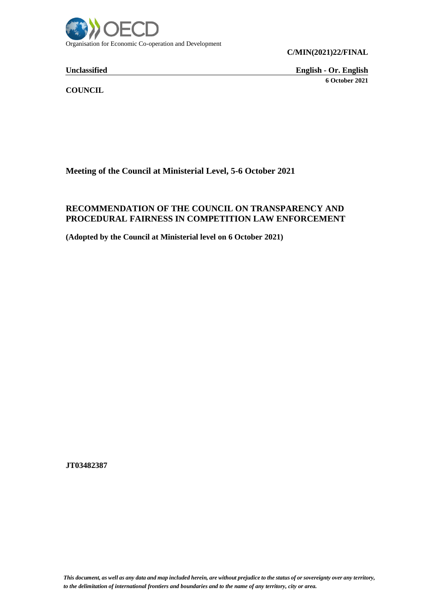

**C/MIN(2021)22/FINAL**

**Unclassified English - Or. English 6 October 2021**

**COUNCIL**

**Meeting of the Council at Ministerial Level, 5-6 October 2021**

# **RECOMMENDATION OF THE COUNCIL ON TRANSPARENCY AND PROCEDURAL FAIRNESS IN COMPETITION LAW ENFORCEMENT**

**(Adopted by the Council at Ministerial level on 6 October 2021)**

**JT03482387**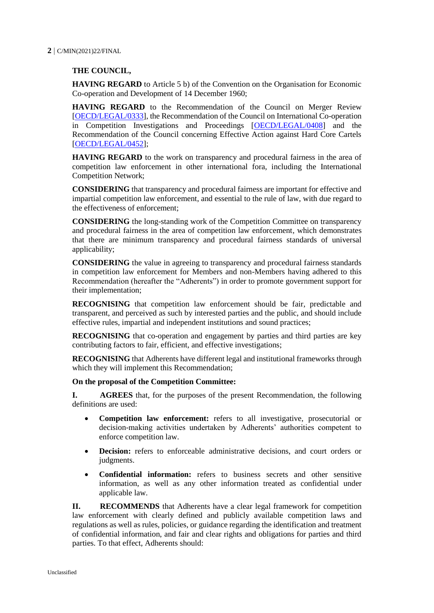#### **2** C/MIN(2021)22/FINAL

## **THE COUNCIL,**

**HAVING REGARD** to Article 5 b) of the Convention on the Organisation for Economic Co-operation and Development of 14 December 1960;

**HAVING REGARD** to the Recommendation of the Council on Merger Review [\[OECD/LEGAL/0333\]](https://legalinstruments.oecd.org/en/instruments/OECD-LEGAL-0333), the Recommendation of the Council on International Co-operation in Competition Investigations and Proceedings [\[OECD/LEGAL/0408\]](https://legalinstruments.oecd.org/en/instruments/OECD-LEGAL-0408) and the Recommendation of the Council concerning Effective Action against Hard Core Cartels [\[OECD/LEGAL/0452\]](https://legalinstruments.oecd.org/en/instruments/OECD-LEGAL-0452);

**HAVING REGARD** to the work on transparency and procedural fairness in the area of competition law enforcement in other international fora, including the International Competition Network;

**CONSIDERING** that transparency and procedural fairness are important for effective and impartial competition law enforcement, and essential to the rule of law, with due regard to the effectiveness of enforcement;

**CONSIDERING** the long-standing work of the Competition Committee on transparency and procedural fairness in the area of competition law enforcement, which demonstrates that there are minimum transparency and procedural fairness standards of universal applicability;

**CONSIDERING** the value in agreeing to transparency and procedural fairness standards in competition law enforcement for Members and non-Members having adhered to this Recommendation (hereafter the "Adherents") in order to promote government support for their implementation;

**RECOGNISING** that competition law enforcement should be fair, predictable and transparent, and perceived as such by interested parties and the public, and should include effective rules, impartial and independent institutions and sound practices;

**RECOGNISING** that co-operation and engagement by parties and third parties are key contributing factors to fair, efficient, and effective investigations;

**RECOGNISING** that Adherents have different legal and institutional frameworks through which they will implement this Recommendation;

#### **On the proposal of the Competition Committee:**

**I. AGREES** that, for the purposes of the present Recommendation, the following definitions are used:

- **Competition law enforcement:** refers to all investigative, prosecutorial or decision-making activities undertaken by Adherents' authorities competent to enforce competition law.
- **Decision:** refers to enforceable administrative decisions, and court orders or judgments.
- **Confidential information:** refers to business secrets and other sensitive information, as well as any other information treated as confidential under applicable law.

**II. RECOMMENDS** that Adherents have a clear legal framework for competition law enforcement with clearly defined and publicly available competition laws and regulations as well as rules, policies, or guidance regarding the identification and treatment of confidential information, and fair and clear rights and obligations for parties and third parties. To that effect, Adherents should: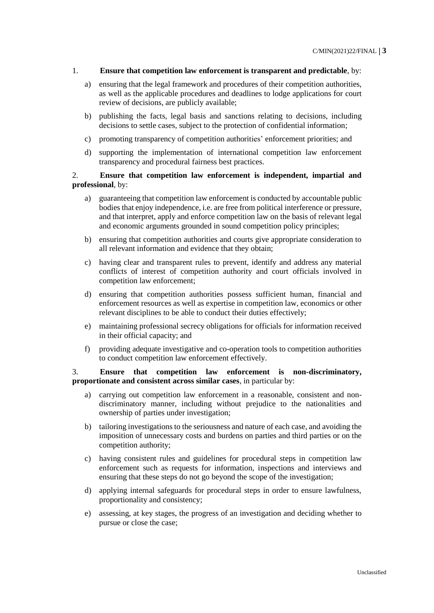#### 1. **Ensure that competition law enforcement is transparent and predictable**, by:

- a) ensuring that the legal framework and procedures of their competition authorities, as well as the applicable procedures and deadlines to lodge applications for court review of decisions, are publicly available;
- b) publishing the facts, legal basis and sanctions relating to decisions, including decisions to settle cases, subject to the protection of confidential information;
- c) promoting transparency of competition authorities' enforcement priorities; and
- d) supporting the implementation of international competition law enforcement transparency and procedural fairness best practices.

2. **Ensure that competition law enforcement is independent, impartial and professional**, by:

- a) guaranteeing that competition law enforcement is conducted by accountable public bodies that enjoy independence, i.e. are free from political interference or pressure, and that interpret, apply and enforce competition law on the basis of relevant legal and economic arguments grounded in sound competition policy principles;
- b) ensuring that competition authorities and courts give appropriate consideration to all relevant information and evidence that they obtain;
- c) having clear and transparent rules to prevent, identify and address any material conflicts of interest of competition authority and court officials involved in competition law enforcement;
- d) ensuring that competition authorities possess sufficient human, financial and enforcement resources as well as expertise in competition law, economics or other relevant disciplines to be able to conduct their duties effectively;
- e) maintaining professional secrecy obligations for officials for information received in their official capacity; and
- f) providing adequate investigative and co-operation tools to competition authorities to conduct competition law enforcement effectively.

### 3. **Ensure that competition law enforcement is non-discriminatory, proportionate and consistent across similar cases**, in particular by:

- a) carrying out competition law enforcement in a reasonable, consistent and nondiscriminatory manner, including without prejudice to the nationalities and ownership of parties under investigation;
- b) tailoring investigations to the seriousness and nature of each case, and avoiding the imposition of unnecessary costs and burdens on parties and third parties or on the competition authority;
- c) having consistent rules and guidelines for procedural steps in competition law enforcement such as requests for information, inspections and interviews and ensuring that these steps do not go beyond the scope of the investigation;
- d) applying internal safeguards for procedural steps in order to ensure lawfulness, proportionality and consistency;
- e) assessing, at key stages, the progress of an investigation and deciding whether to pursue or close the case;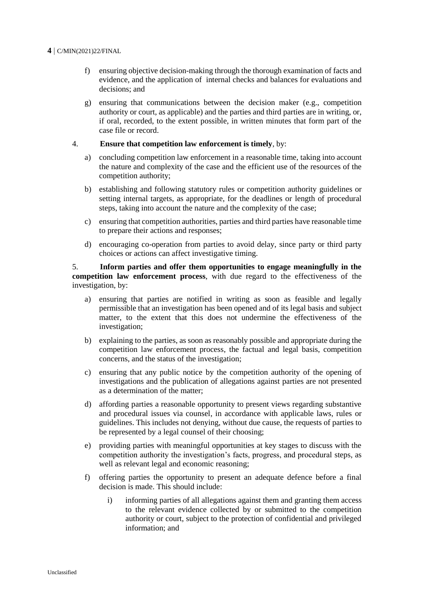#### **4** C/MIN(2021)22/FINAL

- f) ensuring objective decision-making through the thorough examination of facts and evidence, and the application of internal checks and balances for evaluations and decisions; and
- g) ensuring that communications between the decision maker (e.g., competition authority or court, as applicable) and the parties and third parties are in writing, or, if oral, recorded, to the extent possible, in written minutes that form part of the case file or record.

#### 4. **Ensure that competition law enforcement is timely**, by:

- a) concluding competition law enforcement in a reasonable time, taking into account the nature and complexity of the case and the efficient use of the resources of the competition authority;
- b) establishing and following statutory rules or competition authority guidelines or setting internal targets, as appropriate, for the deadlines or length of procedural steps, taking into account the nature and the complexity of the case;
- c) ensuring that competition authorities, parties and third parties have reasonable time to prepare their actions and responses;
- d) encouraging co-operation from parties to avoid delay, since party or third party choices or actions can affect investigative timing.

5. **Inform parties and offer them opportunities to engage meaningfully in the competition law enforcement process**, with due regard to the effectiveness of the investigation, by:

- a) ensuring that parties are notified in writing as soon as feasible and legally permissible that an investigation has been opened and of its legal basis and subject matter, to the extent that this does not undermine the effectiveness of the investigation;
- b) explaining to the parties, as soon as reasonably possible and appropriate during the competition law enforcement process, the factual and legal basis, competition concerns, and the status of the investigation;
- c) ensuring that any public notice by the competition authority of the opening of investigations and the publication of allegations against parties are not presented as a determination of the matter;
- d) affording parties a reasonable opportunity to present views regarding substantive and procedural issues via counsel, in accordance with applicable laws, rules or guidelines. This includes not denying, without due cause, the requests of parties to be represented by a legal counsel of their choosing;
- e) providing parties with meaningful opportunities at key stages to discuss with the competition authority the investigation's facts, progress, and procedural steps, as well as relevant legal and economic reasoning;
- f) offering parties the opportunity to present an adequate defence before a final decision is made. This should include:
	- i) informing parties of all allegations against them and granting them access to the relevant evidence collected by or submitted to the competition authority or court, subject to the protection of confidential and privileged information; and